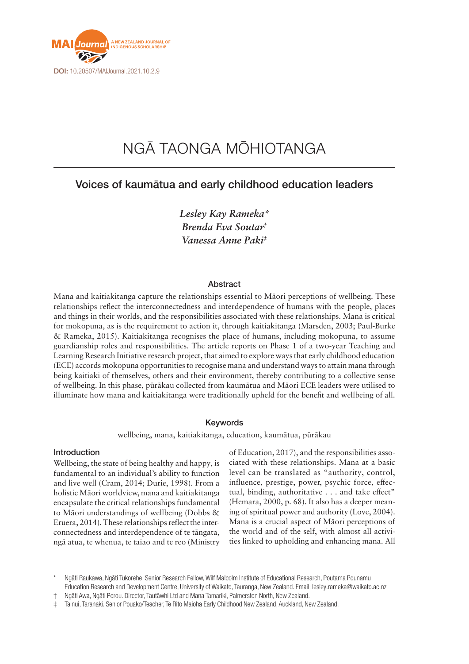

# NGĀ TAONGA MŌHIOTANGA

## Voices of kaumātua and early childhood education leaders

*Lesley Kay Rameka\* Brenda Eva Soutar† Vanessa Anne Paki‡*

#### Abstract

Mana and kaitiakitanga capture the relationships essential to Māori perceptions of wellbeing. These relationships reflect the interconnectedness and interdependence of humans with the people, places and things in their worlds, and the responsibilities associated with these relationships. Mana is critical for mokopuna, as is the requirement to action it, through kaitiakitanga (Marsden, 2003; Paul-Burke & Rameka, 2015). Kaitiakitanga recognises the place of humans, including mokopuna, to assume guardianship roles and responsibilities. The article reports on Phase 1 of a two-year Teaching and Learning Research Initiative research project, that aimed to explore ways that early childhood education (ECE) accords mokopuna opportunities to recognise mana and understand ways to attain mana through being kaitiaki of themselves, others and their environment, thereby contributing to a collective sense of wellbeing. In this phase, pūrākau collected from kaumātua and Māori ECE leaders were utilised to illuminate how mana and kaitiakitanga were traditionally upheld for the benefit and wellbeing of all.

#### Keywords

wellbeing, mana, kaitiakitanga, education, kaumātua, pūrākau

## Introduction

Wellbeing, the state of being healthy and happy, is fundamental to an individual's ability to function and live well (Cram, 2014; Durie, 1998). From a holistic Māori worldview, mana and kaitiakitanga encapsulate the critical relationships fundamental to Māori understandings of wellbeing (Dobbs & Eruera, 2014). These relationships reflect the interconnectedness and interdependence of te tāngata, ngā atua, te whenua, te taiao and te reo (Ministry

of Education, 2017), and the responsibilities associated with these relationships. Mana at a basic level can be translated as "authority, control, influence, prestige, power, psychic force, effectual, binding, authoritative . . . and take effect" (Hemara, 2000, p. 68). It also has a deeper meaning of spiritual power and authority (Love, 2004). Mana is a crucial aspect of Māori perceptions of the world and of the self, with almost all activities linked to upholding and enhancing mana. All

† Ngāti Awa, Ngāti Porou. Director, Tautāwhi Ltd and Mana Tamariki, Palmerston North, New Zealand.

Ngāti Raukawa, Ngāti Tukorehe. Senior Research Fellow, Wilf Malcolm Institute of Educational Research, Poutama Pounamu Education Research and Development Centre, University of Waikato, Tauranga, New Zealand. Email: [lesley.rameka@waikato.ac.nz](mailto:lesley.rameka@waikato.ac.nz)

<sup>‡</sup> Tainui, Taranaki. Senior Pouako/Teacher, Te Rito Maioha Early Childhood New Zealand, Auckland, New Zealand.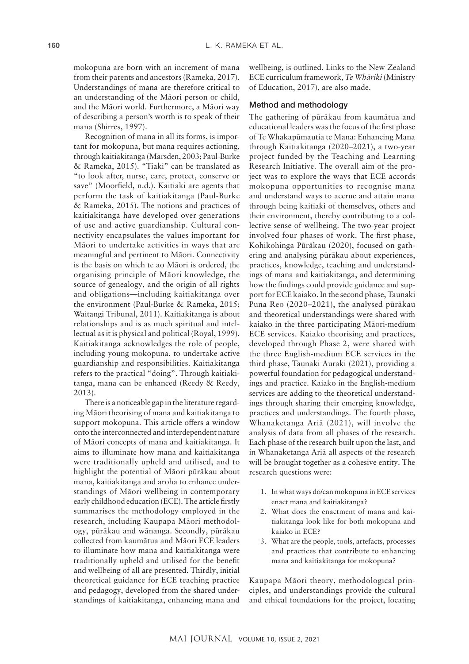mokopuna are born with an increment of mana from their parents and ancestors (Rameka, 2017). Understandings of mana are therefore critical to an understanding of the Māori person or child, and the Māori world. Furthermore, a Māori way of describing a person's worth is to speak of their mana (Shirres, 1997).

Recognition of mana in all its forms, is important for mokopuna, but mana requires actioning, through kaitiakitanga (Marsden, 2003; Paul-Burke & Rameka, 2015). "Tiaki" can be translated as "to look after, nurse, care, protect, conserve or save" (Moorfield, n.d.). Kaitiaki are agents that perform the task of kaitiakitanga (Paul-Burke & Rameka, 2015). The notions and practices of kaitiakitanga have developed over generations of use and active guardianship. Cultural connectivity encapsulates the values important for Māori to undertake activities in ways that are meaningful and pertinent to Māori. Connectivity is the basis on which te ao Māori is ordered, the organising principle of Māori knowledge, the source of genealogy, and the origin of all rights and obligations—including kaitiakitanga over the environment (Paul-Burke & Rameka, 2015; Waitangi Tribunal, 2011). Kaitiakitanga is about relationships and is as much spiritual and intellectual as it is physical and political (Royal, 1999). Kaitiakitanga acknowledges the role of people, including young mokopuna, to undertake active guardianship and responsibilities. Kaitiakitanga refers to the practical "doing". Through kaitiakitanga, mana can be enhanced (Reedy & Reedy, 2013).

There is a noticeable gap in the literature regarding Māori theorising of mana and kaitiakitanga to support mokopuna. This article offers a window onto the interconnected and interdependent nature of Māori concepts of mana and kaitiakitanga. It aims to illuminate how mana and kaitiakitanga were traditionally upheld and utilised, and to highlight the potential of Māori pūrākau about mana, kaitiakitanga and aroha to enhance understandings of Māori wellbeing in contemporary early childhood education (ECE). The article firstly summarises the methodology employed in the research, including Kaupapa Māori methodology, pūrākau and wānanga. Secondly, pūrākau collected from kaumātua and Māori ECE leaders to illuminate how mana and kaitiakitanga were traditionally upheld and utilised for the benefit and wellbeing of all are presented. Thirdly, initial theoretical guidance for ECE teaching practice and pedagogy, developed from the shared understandings of kaitiakitanga, enhancing mana and

wellbeing, is outlined. Links to the New Zealand ECE curriculum framework, *Te Whāriki* (Ministry of Education, 2017), are also made.

## Method and methodology

The gathering of pūrākau from kaumātua and educational leaders was the focus of the first phase of Te Whakapūmautia te Mana: Enhancing Mana through Kaitiakitanga (2020–2021), a two-year project funded by the Teaching and Learning Research Initiative. The overall aim of the project was to explore the ways that ECE accords mokopuna opportunities to recognise mana and understand ways to accrue and attain mana through being kaitiaki of themselves, others and their environment, thereby contributing to a collective sense of wellbeing. The two-year project involved four phases of work. The first phase, Kohikohinga Pūrākau (2020), focused on gathering and analysing pūrākau about experiences, practices, knowledge, teaching and understandings of mana and kaitiakitanga, and determining how the findings could provide guidance and support for ECE kaiako. In the second phase, Taunaki Puna Reo (2020–2021), the analysed pūrākau and theoretical understandings were shared with kaiako in the three participating Māori-medium ECE services. Kaiako theorising and practices, developed through Phase 2, were shared with the three English-medium ECE services in the third phase, Taunaki Auraki (2021), providing a powerful foundation for pedagogical understandings and practice. Kaiako in the English-medium services are adding to the theoretical understandings through sharing their emerging knowledge, practices and understandings. The fourth phase, Whanaketanga Ariā (2021), will involve the analysis of data from all phases of the research. Each phase of the research built upon the last, and in Whanaketanga Ariā all aspects of the research will be brought together as a cohesive entity. The research questions were:

- 1. In what ways do/can mokopuna in ECE services enact mana and kaitiakitanga?
- 2. What does the enactment of mana and kaitiakitanga look like for both mokopuna and kaiako in ECE?
- 3. What are the people, tools, artefacts, processes and practices that contribute to enhancing mana and kaitiakitanga for mokopuna?

Kaupapa Māori theory, methodological principles, and understandings provide the cultural and ethical foundations for the project, locating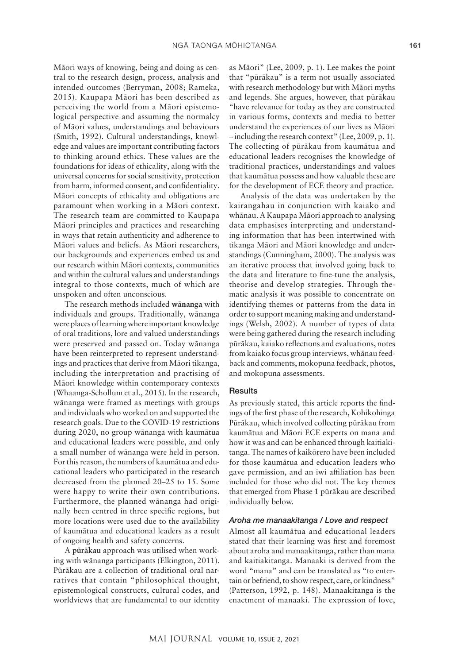Māori ways of knowing, being and doing as central to the research design, process, analysis and intended outcomes (Berryman, 2008; Rameka, 2015). Kaupapa Māori has been described as perceiving the world from a Māori epistemological perspective and assuming the normalcy of Māori values, understandings and behaviours (Smith, 1992). Cultural understandings, knowledge and values are important contributing factors to thinking around ethics. These values are the foundations for ideas of ethicality, along with the universal concerns for social sensitivity, protection from harm, informed consent, and confidentiality. Māori concepts of ethicality and obligations are paramount when working in a Māori context. The research team are committed to Kaupapa Māori principles and practices and researching in ways that retain authenticity and adherence to Māori values and beliefs. As Māori researchers, our backgrounds and experiences embed us and our research within Māori contexts, communities and within the cultural values and understandings integral to those contexts, much of which are unspoken and often unconscious.

The research methods included **wānanga** with individuals and groups. Traditionally, wānanga were places of learning where important knowledge of oral traditions, lore and valued understandings were preserved and passed on. Today wānanga have been reinterpreted to represent understandings and practices that derive from Māori tikanga, including the interpretation and practising of Māori knowledge within contemporary contexts (Whaanga-Schollum et al., 2015). In the research, wānanga were framed as meetings with groups and individuals who worked on and supported the research goals. Due to the COVID-19 restrictions during 2020, no group wānanga with kaumātua and educational leaders were possible, and only a small number of wānanga were held in person. For this reason, the numbers of kaumātua and educational leaders who participated in the research decreased from the planned 20–25 to 15. Some were happy to write their own contributions. Furthermore, the planned wānanga had originally been centred in three specific regions, but more locations were used due to the availability of kaumātua and educational leaders as a result of ongoing health and safety concerns.

A **pūrākau** approach was utilised when working with wānanga participants (Elkington, 2011). Pūrākau are a collection of traditional oral narratives that contain "philosophical thought, epistemological constructs, cultural codes, and worldviews that are fundamental to our identity

as Māori" (Lee, 2009, p. 1). Lee makes the point that "pūrākau" is a term not usually associated with research methodology but with Māori myths and legends. She argues, however, that pūrākau "have relevance for today as they are constructed in various forms, contexts and media to better understand the experiences of our lives as Māori – including the research context" (Lee, 2009, p. 1). The collecting of pūrākau from kaumātua and educational leaders recognises the knowledge of traditional practices, understandings and values that kaumātua possess and how valuable these are for the development of ECE theory and practice.

Analysis of the data was undertaken by the kairangahau in conjunction with kaiako and whānau. A Kaupapa Māori approach to analysing data emphasises interpreting and understanding information that has been intertwined with tikanga Māori and Māori knowledge and understandings (Cunningham, 2000). The analysis was an iterative process that involved going back to the data and literature to fine-tune the analysis, theorise and develop strategies. Through thematic analysis it was possible to concentrate on identifying themes or patterns from the data in order to support meaning making and understandings (Welsh, 2002). A number of types of data were being gathered during the research including pūrākau, kaiako reflections and evaluations, notes from kaiako focus group interviews, whānau feedback and comments, mokopuna feedback, photos, and mokopuna assessments.

#### **Results**

As previously stated, this article reports the findings of the first phase of the research, Kohikohinga Pūrākau, which involved collecting pūrākau from kaumātua and Māori ECE experts on mana and how it was and can be enhanced through kaitiakitanga. The names of kaikōrero have been included for those kaumātua and education leaders who gave permission, and an iwi affiliation has been included for those who did not. The key themes that emerged from Phase 1 pūrākau are described individually below.

#### *Aroha me manaakitanga / Love and respect*

Almost all kaumātua and educational leaders stated that their learning was first and foremost about aroha and manaakitanga, rather than mana and kaitiakitanga. Manaaki is derived from the word "mana" and can be translated as "to entertain or befriend, to show respect, care, or kindness" (Patterson, 1992, p. 148). Manaakitanga is the enactment of manaaki. The expression of love,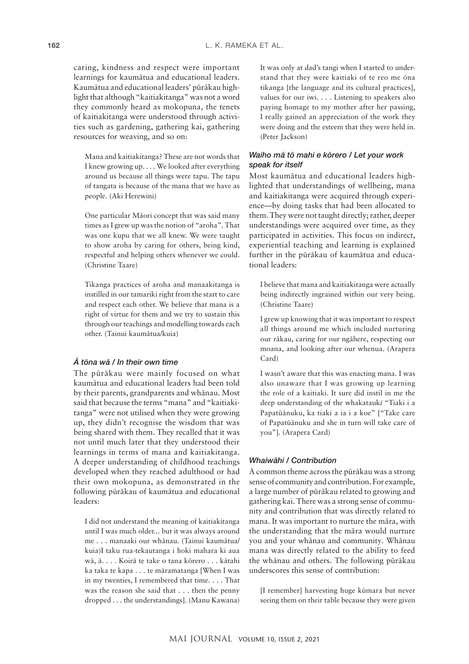caring, kindness and respect were important learnings for kaumātua and educational leaders. Kaumātua and educational leaders' pūrākau highlight that although "kaitiakitanga" was not a word they commonly heard as mokopuna, the tenets of kaitiakitanga were understood through activities such as gardening, gathering kai, gathering resources for weaving, and so on:

Mana and kaitiakitanga? These are not words that I knew growing up. . . . We looked after everything around us because all things were tapu. The tapu of tangata is because of the mana that we have as people. (Aki Herewini)

One particular Māori concept that was said many times as I grew up was the notion of "aroha". That was one kupu that we all knew. We were taught to show aroha by caring for others, being kind, respectful and helping others whenever we could. (Christine Taare)

Tikanga practices of aroha and manaakitanga is instilled in our tamariki right from the start to care and respect each other. We believe that mana is a right of virtue for them and we try to sustain this through our teachings and modelling towards each other. (Tainui kaumātua/kuia)

## *Ā tōna wā / In their own time*

The pūrākau were mainly focused on what kaumātua and educational leaders had been told by their parents, grandparents and whānau. Most said that because the terms "mana" and "kaitiakitanga" were not utilised when they were growing up, they didn't recognise the wisdom that was being shared with them. They recalled that it was not until much later that they understood their learnings in terms of mana and kaitiakitanga. A deeper understanding of childhood teachings developed when they reached adulthood or had their own mokopuna, as demonstrated in the following pūrākau of kaumātua and educational leaders:

I did not understand the meaning of kaitiakitanga until I was much older... but it was always around me . . . manaaki our whānau. (Tainui kaumātua/ kuia)I taku rua-tekautanga i hoki mahara ki aua wā, ā. . . . Koirā te take o tana kōrero . . . kātahi ka taka te kapa . . . te māramatanga [When I was in my twenties, I remembered that time. . . . That was the reason she said that . . . then the penny dropped . . . the understandings]. (Manu Kawana)

It was only at dad's tangi when I started to understand that they were kaitiaki of te reo me *ō*na tikanga [the language and its cultural practices], values for our iwi. . . . Listening to speakers also paying homage to my mother after her passing, I really gained an appreciation of the work they were doing and the esteem that they were held in. (Peter Jackson)

## *Waiho mā tō mahi e kōrero / Let your work speak for itself*

Most kaumātua and educational leaders highlighted that understandings of wellbeing, mana and kaitiakitanga were acquired through experience—by doing tasks that had been allocated to them. They were not taught directly; rather, deeper understandings were acquired over time, as they participated in activities. This focus on indirect, experiential teaching and learning is explained further in the pūrākau of kaumātua and educational leaders:

I believe that mana and kaitiakitanga were actually being indirectly ingrained within our very being. (Christine Taare)

I grew up knowing that it was important to respect all things around me which included nurturing our rākau, caring for our ngāhere, respecting our moana, and looking after our whenua. (Arapera Card)

I wasn't aware that this was enacting mana. I was also unaware that I was growing up learning the role of a kaitiaki. It sure did instil in me the deep understanding of the whakatauk*ī* "Tiaki i a Papatūānuku, ka tiaki a ia i a koe" ["Take care of Papatūānuku and she in turn will take care of you"]. (Arapera Card)

## *Whaiwāhi / Contribution*

A common theme across the pūrākau was a strong sense of community and contribution. For example, a large number of pūrākau related to growing and gathering kai. There was a strong sense of community and contribution that was directly related to mana. It was important to nurture the māra, with the understanding that the māra would nurture you and your whānau and community. Whānau mana was directly related to the ability to feed the whānau and others. The following pūrākau underscores this sense of contribution:

[I remember] harvesting huge kūmara but never seeing them on their table because they were given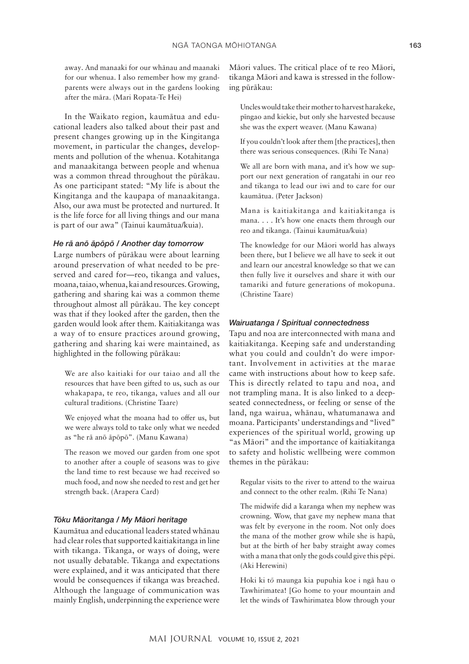away. And manaaki for our whānau and maanaki for our whenua. I also remember how my grandparents were always out in the gardens looking after the māra. (Mari Ropata-Te Hei)

In the Waikato region, kaumātua and educational leaders also talked about their past and present changes growing up in the Kingitanga movement, in particular the changes, developments and pollution of the whenua. Kotahitanga and manaakitanga between people and whenua was a common thread throughout the pūrākau. As one participant stated: "My life is about the Kingitanga and the kaupapa of manaakitanga. Also, our awa must be protected and nurtured. It is the life force for all living things and our mana is part of our awa" (Tainui kaumātua/kuia).

#### *He rā anō āpōpō / Another day tomorrow*

Large numbers of pūrākau were about learning around preservation of what needed to be preserved and cared for—reo, tikanga and values, moana, taiao, whenua, kai and resources. Growing, gathering and sharing kai was a common theme throughout almost all pūrākau. The key concept was that if they looked after the garden, then the garden would look after them. Kaitiakitanga was a way of to ensure practices around growing, gathering and sharing kai were maintained, as highlighted in the following pūrākau:

We are also kaitiaki for our taiao and all the resources that have been gifted to us, such as our whakapapa, te reo, tikanga, values and all our cultural traditions. (Christine Taare)

We enjoyed what the moana had to offer us, but we were always told to take only what we needed as "he rā anō āpōpō". (Manu Kawana)

The reason we moved our garden from one spot to another after a couple of seasons was to give the land time to rest because we had received so much food, and now she needed to rest and get her strength back. (Arapera Card)

#### *Tōku Māoritanga / My Māori heritage*

Kaumātua and educational leaders stated whānau had clear roles that supported kaitiakitanga in line with tikanga. Tikanga, or ways of doing, were not usually debatable. Tikanga and expectations were explained, and it was anticipated that there would be consequences if tikanga was breached. Although the language of communication was mainly English, underpinning the experience were Māori values. The critical place of te reo Māori, tikanga Māori and kawa is stressed in the following pūrākau:

Uncles would take their mother to harvest harakeke, pīngao and kiekie, but only she harvested because she was the expert weaver. (Manu Kawana)

If you couldn't look after them [the practices], then there was serious consequences. (Rihi Te Nana)

We all are born with mana, and it's how we support our next generation of rangatahi in our reo and tikanga to lead our iwi and to care for our kaumātua. (Peter Jackson)

Mana is kaitiakitanga and kaitiakitanga is mana. . . . It's how one enacts them through our reo and tikanga. (Tainui kaumātua/kuia)

The knowledge for our Māori world has always been there, but I believe we all have to seek it out and learn our ancestral knowledge so that we can then fully live it ourselves and share it with our tamariki and future generations of mokopuna. (Christine Taare)

## *Wairuatanga / Spiritual connectedness*

Tapu and noa are interconnected with mana and kaitiakitanga. Keeping safe and understanding what you could and couldn't do were important. Involvement in activities at the marae came with instructions about how to keep safe. This is directly related to tapu and noa, and not trampling mana. It is also linked to a deepseated connectedness, or feeling or sense of the land, nga wairua, whānau, whatumanawa and moana*.* Participants' understandings and "lived" experiences of the spiritual world, growing up "as Māori" and the importance of kaitiakitanga to safety and holistic wellbeing were common themes in the pūrākau:

Regular visits to the river to attend to the wairua and connect to the other realm. (Rihi Te Nana)

The midwife did a karanga when my nephew was crowning. Wow, that gave my nephew mana that was felt by everyone in the room. Not only does the mana of the mother grow while she is hapū, but at the birth of her baby straight away comes with a mana that only the gods could give this pēpi. (Aki Herewini)

Hoki ki t*ō* maunga kia pupuhia koe i ngā hau o Tawhirimatea! [Go home to your mountain and let the winds of Tawhirimatea blow through your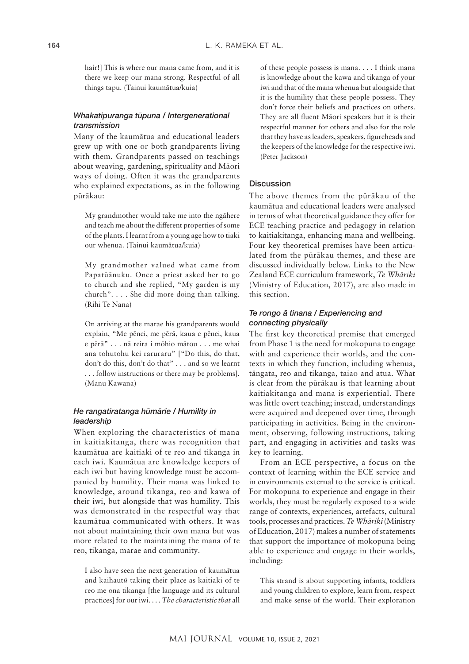hair!] This is where our mana came from, and it is there we keep our mana strong. Respectful of all things tapu. (Tainui kaumātua/kuia)

## *Whakatipuranga tūpuna / Intergenerational transmission*

Many of the kaumātua and educational leaders grew up with one or both grandparents living with them. Grandparents passed on teachings about weaving, gardening, spirituality and Māori ways of doing. Often it was the grandparents who explained expectations, as in the following pūrākau:

My grandmother would take me into the ngāhere and teach me about the different properties of some of the plants. I learnt from a young age how to tiaki our whenua. (Tainui kaumātua/kuia)

My grandmother valued what came from Papatūānuku. Once a priest asked her to go to church and she replied, "My garden is my church". . . . She did more doing than talking. (Rihi Te Nana)

On arriving at the marae his grandparents would explain, "Me pēnei, me pērā, kaua e pēnei, kaua e pērā" . . . nā reira i mōhio mātou . . . me whai ana tohutohu kei raruraru" ["Do this, do that, don't do this, don't do that" . . . and so we learnt . . . follow instructions or there may be problems]. (Manu Kawana)

## *He rangatiratanga hūmārie / Humility in leadership*

When exploring the characteristics of mana in kaitiakitanga, there was recognition that kaumātua are kaitiaki of te reo and tikanga in each iwi. Kaumātua are knowledge keepers of each iwi but having knowledge must be accompanied by humility. Their mana was linked to knowledge, around tikanga, reo and kawa of their iwi, but alongside that was humility. This was demonstrated in the respectful way that kaumātua communicated with others. It was not about maintaining their own mana but was more related to the maintaining the mana of te reo, tikanga, marae and community.

I also have seen the next generation of kaum*ā*tua and kaihaut*ū* taking their place as kaitiaki of te reo me ona tikanga [the language and its cultural practices] for our iwi. . . . *The characteristic that* all of these people possess is mana. . . . I think mana is knowledge about the kawa and tikanga of your iwi and that of the mana whenua but alongside that it is the humility that these people possess. They don't force their beliefs and practices on others. They are all fluent Māori speakers but it is their respectful manner for others and also for the role that they have as leaders, speakers, figureheads and the keepers of the knowledge for the respective iwi. (Peter Jackson)

#### **Discussion**

The above themes from the pūrākau of the kaumātua and educational leaders were analysed in terms of what theoretical guidance they offer for ECE teaching practice and pedagogy in relation to kaitiakitanga, enhancing mana and wellbeing. Four key theoretical premises have been articulated from the pūrākau themes, and these are discussed individually below. Links to the New Zealand ECE curriculum framework, *Te Whāriki* (Ministry of Education, 2017), are also made in this section.

## *Te rongo ā tinana / Experiencing and connecting physically*

The first key theoretical premise that emerged from Phase 1 is the need for mokopuna to engage with and experience their worlds, and the contexts in which they function, including whenua, tāngata, reo and tikanga, taiao and atua. What is clear from the pūrākau is that learning about kaitiakitanga and mana is experiential. There was little overt teaching; instead, understandings were acquired and deepened over time, through participating in activities. Being in the environment, observing, following instructions, taking part, and engaging in activities and tasks was key to learning.

From an ECE perspective, a focus on the context of learning within the ECE service and in environments external to the service is critical. For mokopuna to experience and engage in their worlds, they must be regularly exposed to a wide range of contexts, experiences, artefacts, cultural tools, processes and practices. *Te Whāriki* (Ministry of Education, 2017) makes a number of statements that support the importance of mokopuna being able to experience and engage in their worlds, including:

This strand is about supporting infants, toddlers and young children to explore, learn from, respect and make sense of the world. Their exploration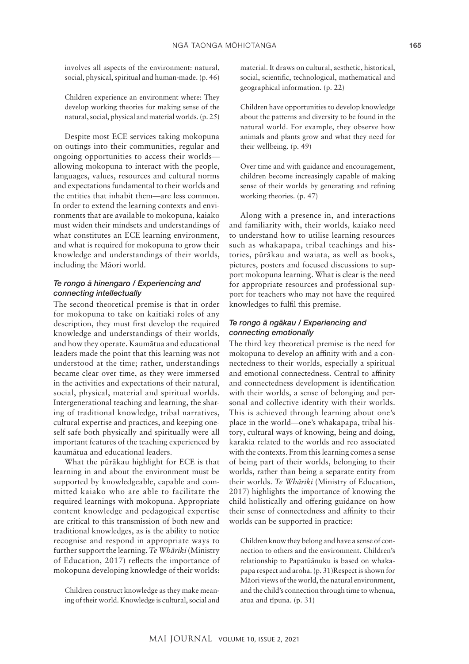involves all aspects of the environment: natural, social, physical, spiritual and human-made. (p. 46)

Children experience an environment where: They develop working theories for making sense of the natural, social, physical and material worlds. (p. 25)

Despite most ECE services taking mokopuna on outings into their communities, regular and ongoing opportunities to access their worlds allowing mokopuna to interact with the people, languages, values, resources and cultural norms and expectations fundamental to their worlds and the entities that inhabit them—are less common. In order to extend the learning contexts and environments that are available to mokopuna, kaiako must widen their mindsets and understandings of what constitutes an ECE learning environment, and what is required for mokopuna to grow their knowledge and understandings of their worlds, including the Māori world.

## *Te rongo ā hinengaro / Experiencing and connecting intellectually*

The second theoretical premise is that in order for mokopuna to take on kaitiaki roles of any description, they must first develop the required knowledge and understandings of their worlds, and how they operate. Kaumātua and educational leaders made the point that this learning was not understood at the time; rather, understandings became clear over time, as they were immersed in the activities and expectations of their natural, social, physical, material and spiritual worlds. Intergenerational teaching and learning, the sharing of traditional knowledge, tribal narratives, cultural expertise and practices, and keeping oneself safe both physically and spiritually were all important features of the teaching experienced by kaumātua and educational leaders.

What the pūrākau highlight for ECE is that learning in and about the environment must be supported by knowledgeable, capable and committed kaiako who are able to facilitate the required learnings with mokopuna. Appropriate content knowledge and pedagogical expertise are critical to this transmission of both new and traditional knowledges, as is the ability to notice recognise and respond in appropriate ways to further support the learning. *Te Whāriki* (Ministry of Education, 2017) reflects the importance of mokopuna developing knowledge of their worlds:

Children construct knowledge as they make meaning of their world. Knowledge is cultural, social and material. It draws on cultural, aesthetic, historical, social, scientific, technological, mathematical and geographical information. (p. 22)

Children have opportunities to develop knowledge about the patterns and diversity to be found in the natural world. For example, they observe how animals and plants grow and what they need for their wellbeing. (p. 49)

Over time and with guidance and encouragement, children become increasingly capable of making sense of their worlds by generating and refining working theories. (p. 47)

Along with a presence in, and interactions and familiarity with, their worlds, kaiako need to understand how to utilise learning resources such as whakapapa, tribal teachings and histories, pūrākau and waiata, as well as books, pictures, posters and focused discussions to support mokopuna learning. What is clear is the need for appropriate resources and professional support for teachers who may not have the required knowledges to fulfil this premise.

## *Te rongo ā ngākau / Experiencing and connecting emotionally*

The third key theoretical premise is the need for mokopuna to develop an affinity with and a connectedness to their worlds, especially a spiritual and emotional connectedness. Central to affinity and connectedness development is identification with their worlds, a sense of belonging and personal and collective identity with their worlds. This is achieved through learning about one's place in the world—one's whakapapa, tribal history, cultural ways of knowing, being and doing, karakia related to the worlds and reo associated with the contexts. From this learning comes a sense of being part of their worlds, belonging to their worlds, rather than being a separate entity from their worlds. *Te Whāriki* (Ministry of Education, 2017) highlights the importance of knowing the child holistically and offering guidance on how their sense of connectedness and affinity to their worlds can be supported in practice:

Children know they belong and have a sense of connection to others and the environment. Children's relationship to Papatūānuku is based on whakapapa respect and aroha. (p. 31)Respect is shown for Māori views of the world, the natural environment, and the child's connection through time to whenua, atua and tīpuna. (p. 31)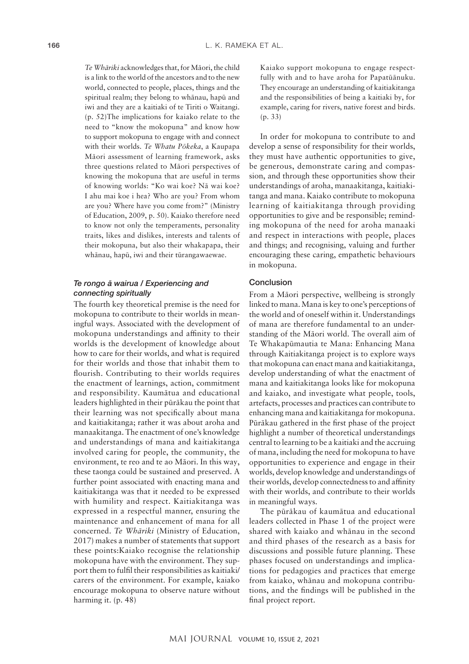*Te Whāriki* acknowledges that, for Māori, the child is a link to the world of the ancestors and to the new world, connected to people, places, things and the spiritual realm; they belong to whānau, hapū and iwi and they are a kaitiaki of te Tiriti o Waitangi. (p. 52)The implications for kaiako relate to the need to "know the mokopuna" and know how to support mokopuna to engage with and connect with their worlds. *Te Whatu Pōkeka*, a Kaupapa Māori assessment of learning framework, asks three questions related to Māori perspectives of knowing the mokopuna that are useful in terms of knowing worlds: "Ko wai koe? Nā wai koe? I ahu mai koe i hea? Who are you? From whom are you? Where have you come from?" (Ministry of Education, 2009, p. 50). Kaiako therefore need to know not only the temperaments, personality traits, likes and dislikes, interests and talents of their mokopuna, but also their whakapapa, their whānau, hapū, iwi and their tūrangawaewae.

## *Te rongo ā wairua / Experiencing and connecting spiritually*

The fourth key theoretical premise is the need for mokopuna to contribute to their worlds in meaningful ways. Associated with the development of mokopuna understandings and affinity to their worlds is the development of knowledge about how to care for their worlds, and what is required for their worlds and those that inhabit them to flourish. Contributing to their worlds requires the enactment of learnings, action, commitment and responsibility. Kaumātua and educational leaders highlighted in their pūrākau the point that their learning was not specifically about mana and kaitiakitanga; rather it was about aroha and manaakitanga. The enactment of one's knowledge and understandings of mana and kaitiakitanga involved caring for people, the community, the environment, te reo and te ao Māori. In this way, these taonga could be sustained and preserved. A further point associated with enacting mana and kaitiakitanga was that it needed to be expressed with humility and respect. Kaitiakitanga was expressed in a respectful manner, ensuring the maintenance and enhancement of mana for all concerned. *Te Whāriki* (Ministry of Education, 2017) makes a number of statements that support these points:Kaiako recognise the relationship mokopuna have with the environment. They support them to fulfil their responsibilities as kaitiaki/ carers of the environment. For example, kaiako encourage mokopuna to observe nature without harming it. (p. 48)

Kaiako support mokopuna to engage respectfully with and to have aroha for Papatūānuku. They encourage an understanding of kaitiakitanga and the responsibilities of being a kaitiaki by, for example, caring for rivers, native forest and birds. (p. 33)

In order for mokopuna to contribute to and develop a sense of responsibility for their worlds, they must have authentic opportunities to give, be generous, demonstrate caring and compassion, and through these opportunities show their understandings of aroha, manaakitanga, kaitiakitanga and mana. Kaiako contribute to mokopuna learning of kaitiakitanga through providing opportunities to give and be responsible; reminding mokopuna of the need for aroha manaaki and respect in interactions with people, places and things; and recognising, valuing and further encouraging these caring, empathetic behaviours in mokopuna.

## Conclusion

From a Māori perspective, wellbeing is strongly linked to mana. Mana is key to one's perceptions of the world and of oneself within it. Understandings of mana are therefore fundamental to an understanding of the Māori world. The overall aim of Te Whakapūmautia te Mana: Enhancing Mana through Kaitiakitanga project is to explore ways that mokopuna can enact mana and kaitiakitanga, develop understanding of what the enactment of mana and kaitiakitanga looks like for mokopuna and kaiako, and investigate what people, tools, artefacts, processes and practices can contribute to enhancing mana and kaitiakitanga for mokopuna. Pūrākau gathered in the first phase of the project highlight a number of theoretical understandings central to learning to be a kaitiaki and the accruing of mana, including the need for mokopuna to have opportunities to experience and engage in their worlds, develop knowledge and understandings of their worlds, develop connectedness to and affinity with their worlds, and contribute to their worlds in meaningful ways.

The pūrākau of kaumātua and educational leaders collected in Phase 1 of the project were shared with kaiako and whānau in the second and third phases of the research as a basis for discussions and possible future planning. These phases focused on understandings and implications for pedagogies and practices that emerge from kaiako, whānau and mokopuna contributions, and the findings will be published in the final project report.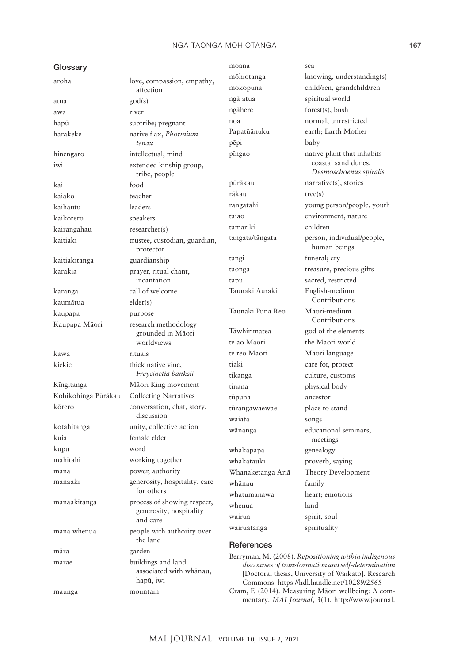## NGĀ TAONGA MŌHIOTANGA **167**

| Glossary            |                                            | moana                                                                                                                                                   | sea                                                  |
|---------------------|--------------------------------------------|---------------------------------------------------------------------------------------------------------------------------------------------------------|------------------------------------------------------|
| aroha               | love, compassion, empathy,                 | mōhiotanga                                                                                                                                              | knowing, understanding(s)                            |
|                     | affection                                  | mokopuna                                                                                                                                                | child/ren, grandchild/ren                            |
| atua                | $\text{god}(s)$                            | ngā atua                                                                                                                                                | spiritual world                                      |
| awa                 | river                                      | ngāhere                                                                                                                                                 | forest(s), bush                                      |
| hapū                | subtribe; pregnant                         | noa                                                                                                                                                     | normal, unrestricted                                 |
| harakeke            | native flax, Phormium                      | Papatūānuku                                                                                                                                             | earth; Earth Mother                                  |
|                     | tenax                                      | pēpi                                                                                                                                                    | baby                                                 |
| hinengaro           | intellectual; mind                         | pīngao                                                                                                                                                  | native plant that inhabits                           |
| iwi                 | extended kinship group,<br>tribe, people   |                                                                                                                                                         | coastal sand dunes,<br>Desmoschoenus spiralis        |
| kai                 | food                                       | pūrākau                                                                                                                                                 | narrative(s), stories                                |
| kaiako              | teacher                                    | rākau                                                                                                                                                   | tree(s)                                              |
| kaihautū            | leaders                                    | rangatahi                                                                                                                                               | young person/people, youth                           |
| kaikōrero           | speakers                                   | taiao                                                                                                                                                   | environment, nature                                  |
| kairangahau         | researcher(s)                              | tamariki                                                                                                                                                | children                                             |
| kaitiaki            | trustee, custodian, guardian,<br>protector | tangata/tāngata                                                                                                                                         | person, individual/people,<br>human beings           |
| kaitiakitanga       | guardianship                               | tangi                                                                                                                                                   | funeral; cry                                         |
| karakia             | prayer, ritual chant,                      | taonga                                                                                                                                                  | treasure, precious gifts                             |
|                     | incantation                                | tapu                                                                                                                                                    | sacred, restricted                                   |
| karanga             | call of welcome                            | Taunaki Auraki                                                                                                                                          | English-medium<br>Contributions                      |
| kaumātua            | elder(s)                                   | Taunaki Puna Reo                                                                                                                                        | Māori-medium                                         |
| kaupapa             | purpose                                    |                                                                                                                                                         | Contributions                                        |
| Kaupapa Māori       | research methodology<br>grounded in Māori  | Tāwhirimatea                                                                                                                                            | god of the elements                                  |
|                     | worldviews                                 | te ao Māori                                                                                                                                             | the Māori world                                      |
| kawa                | rituals                                    | te reo Māori                                                                                                                                            | Māori language                                       |
| kiekie              | thick native vine,                         | tiaki                                                                                                                                                   | care for, protect                                    |
|                     | Freycinetia banksii                        | tikanga                                                                                                                                                 | culture, customs                                     |
| Kīngitanga          | Māori King movement                        | tinana                                                                                                                                                  | physical body                                        |
| Kohikohinga Pūrākau | <b>Collecting Narratives</b>               | tūpuna                                                                                                                                                  | ancestor                                             |
| kōrero              | conversation, chat, story,                 | tūrangawaewae                                                                                                                                           | place to stand                                       |
|                     | discussion                                 | waiata                                                                                                                                                  | songs                                                |
| kotahitanga<br>kuia | unity, collective action<br>female elder   | wānanga                                                                                                                                                 | educational seminars,                                |
| kupu                | word                                       |                                                                                                                                                         | meetings                                             |
| mahitahi            | working together                           | whakapapa                                                                                                                                               | genealogy                                            |
| mana                | power, authority                           | whakataukī                                                                                                                                              | proverb, saying                                      |
| manaaki             | generosity, hospitality, care              | Whanaketanga Ariā                                                                                                                                       | Theory Development                                   |
|                     | for others                                 | whānau                                                                                                                                                  | family                                               |
| manaakitanga        | process of showing respect,                | whatumanawa                                                                                                                                             | heart; emotions                                      |
|                     | generosity, hospitality                    | whenua                                                                                                                                                  | land                                                 |
|                     | and care                                   | wairua                                                                                                                                                  | spirit, soul                                         |
| mana whenua         | people with authority over<br>the land     | wairuatanga                                                                                                                                             | spirituality                                         |
| māra                | garden                                     | References                                                                                                                                              |                                                      |
| marae               | buildings and land                         |                                                                                                                                                         | Berryman, M. (2008). Repositioning within indigenous |
|                     | associated with whānau,<br>hapū, iwi       | discourses of transformation and self-determination<br>[Doctoral thesis, University of Waikato]. Research<br>Commons. https://hdl.handle.net/10289/2565 |                                                      |
| maunga              | mountain                                   | Cram, F. (2014). Measuring Māori wellbeing: A com-<br>mentary. MAI Journal, 3(1). http://www.journal.                                                   |                                                      |